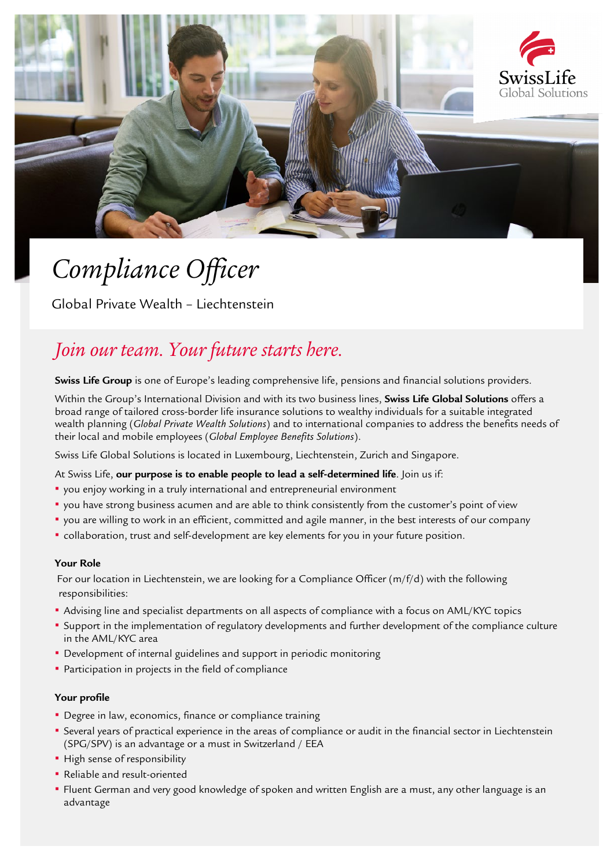

# *Compliance Officer*

Global Private Wealth – Liechtenstein

# *Join our team. Your future starts here.*

**Swiss Life Group** is one of Europe's leading comprehensive life, pensions and financial solutions providers.

Within the Group's International Division and with its two business lines, **Swiss Life Global Solutions** offers a broad range of tailored cross-border life insurance solutions to wealthy individuals for a suitable integrated wealth planning (*Global Private Wealth Solutions*) and to international companies to address the benefits needs of their local and mobile employees (*Global Employee Benefits Solutions*).

Swiss Life Global Solutions is located in Luxembourg, Liechtenstein, Zurich and Singapore.

# At Swiss Life, **our purpose is to enable people to lead a self-determined life**. Join us if:

- you enjoy working in a truly international and entrepreneurial environment
- you have strong business acumen and are able to think consistently from the customer's point of view
- you are willing to work in an efficient, committed and agile manner, in the best interests of our company
- collaboration, trust and self-development are key elements for you in your future position.

#### **Your Role**

 For our location in Liechtenstein, we are looking for a Compliance Officer (m/f/d) with the following responsibilities:

- Advising line and specialist departments on all aspects of compliance with a focus on AML/KYC topics
- Support in the implementation of regulatory developments and further development of the compliance culture in the AML/KYC area
- **Development of internal guidelines and support in periodic monitoring**
- **Participation in projects in the field of compliance**

# **Your profile**

- **Degree in law, economics, finance or compliance training**
- Several years of practical experience in the areas of compliance or audit in the financial sector in Liechtenstein (SPG/SPV) is an advantage or a must in Switzerland / EEA
- **·** High sense of responsibility
- Reliable and result-oriented
- Fluent German and very good knowledge of spoken and written English are a must, any other language is an advantage